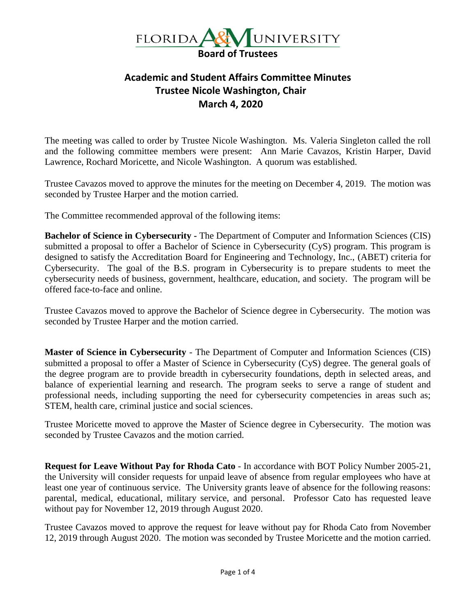

## **Academic and Student Affairs Committee Minutes Trustee Nicole Washington, Chair March 4, 2020**

The meeting was called to order by Trustee Nicole Washington. Ms. Valeria Singleton called the roll and the following committee members were present: Ann Marie Cavazos, Kristin Harper, David Lawrence, Rochard Moricette, and Nicole Washington. A quorum was established.

Trustee Cavazos moved to approve the minutes for the meeting on December 4, 2019. The motion was seconded by Trustee Harper and the motion carried.

The Committee recommended approval of the following items:

**Bachelor of Science in Cybersecurity -** The Department of Computer and Information Sciences (CIS) submitted a proposal to offer a Bachelor of Science in Cybersecurity (CyS) program. This program is designed to satisfy the Accreditation Board for Engineering and Technology, Inc., (ABET) criteria for Cybersecurity. The goal of the B.S. program in Cybersecurity is to prepare students to meet the cybersecurity needs of business, government, healthcare, education, and society. The program will be offered face-to-face and online.

Trustee Cavazos moved to approve the Bachelor of Science degree in Cybersecurity. The motion was seconded by Trustee Harper and the motion carried.

**Master of Science in Cybersecurity** - The Department of Computer and Information Sciences (CIS) submitted a proposal to offer a Master of Science in Cybersecurity (CyS) degree. The general goals of the degree program are to provide breadth in cybersecurity foundations, depth in selected areas, and balance of experiential learning and research. The program seeks to serve a range of student and professional needs, including supporting the need for cybersecurity competencies in areas such as; STEM, health care, criminal justice and social sciences.

Trustee Moricette moved to approve the Master of Science degree in Cybersecurity. The motion was seconded by Trustee Cavazos and the motion carried.

**Request for Leave Without Pay for Rhoda Cato** - In accordance with BOT Policy Number 2005-21, the University will consider requests for unpaid leave of absence from regular employees who have at least one year of continuous service. The University grants leave of absence for the following reasons: parental, medical, educational, military service, and personal. Professor Cato has requested leave without pay for November 12, 2019 through August 2020.

Trustee Cavazos moved to approve the request for leave without pay for Rhoda Cato from November 12, 2019 through August 2020. The motion was seconded by Trustee Moricette and the motion carried.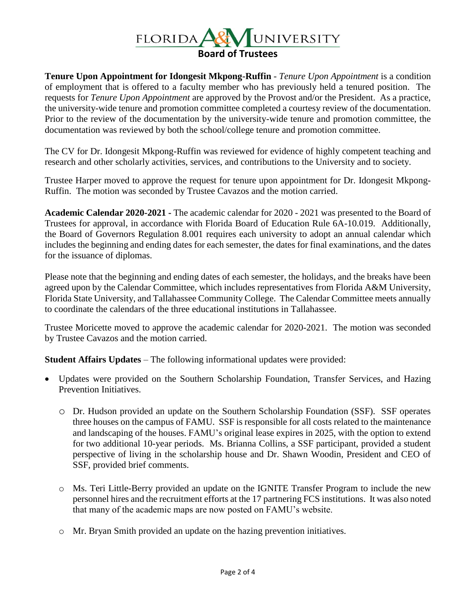

**Tenure Upon Appointment for Idongesit Mkpong-Ruffin** - *Tenure Upon Appointment* is a condition of employment that is offered to a faculty member who has previously held a tenured position. The requests for *Tenure Upon Appointment* are approved by the Provost and/or the President. As a practice, the university-wide tenure and promotion committee completed a courtesy review of the documentation. Prior to the review of the documentation by the university-wide tenure and promotion committee, the documentation was reviewed by both the school/college tenure and promotion committee.

The CV for Dr. Idongesit Mkpong-Ruffin was reviewed for evidence of highly competent teaching and research and other scholarly activities, services, and contributions to the University and to society.

Trustee Harper moved to approve the request for tenure upon appointment for Dr. Idongesit Mkpong-Ruffin. The motion was seconded by Trustee Cavazos and the motion carried.

**Academic Calendar 2020-2021 -** The academic calendar for 2020 - 2021 was presented to the Board of Trustees for approval, in accordance with Florida Board of Education Rule 6A-10.019. Additionally, the Board of Governors Regulation 8.001 requires each university to adopt an annual calendar which includes the beginning and ending dates for each semester, the dates for final examinations, and the dates for the issuance of diplomas.

Please note that the beginning and ending dates of each semester, the holidays, and the breaks have been agreed upon by the Calendar Committee, which includes representatives from Florida A&M University, Florida State University, and Tallahassee Community College. The Calendar Committee meets annually to coordinate the calendars of the three educational institutions in Tallahassee.

Trustee Moricette moved to approve the academic calendar for 2020-2021. The motion was seconded by Trustee Cavazos and the motion carried.

**Student Affairs Updates** – The following informational updates were provided:

- Updates were provided on the Southern Scholarship Foundation, Transfer Services, and Hazing Prevention Initiatives.
	- o Dr. Hudson provided an update on the Southern Scholarship Foundation (SSF). SSF operates three houses on the campus of FAMU. SSF is responsible for all costs related to the maintenance and landscaping of the houses. FAMU's original lease expires in 2025, with the option to extend for two additional 10-year periods. Ms. Brianna Collins, a SSF participant, provided a student perspective of living in the scholarship house and Dr. Shawn Woodin, President and CEO of SSF, provided brief comments.
	- o Ms. Teri Little-Berry provided an update on the IGNITE Transfer Program to include the new personnel hires and the recruitment efforts at the 17 partnering FCS institutions. It was also noted that many of the academic maps are now posted on FAMU's website.
	- o Mr. Bryan Smith provided an update on the hazing prevention initiatives.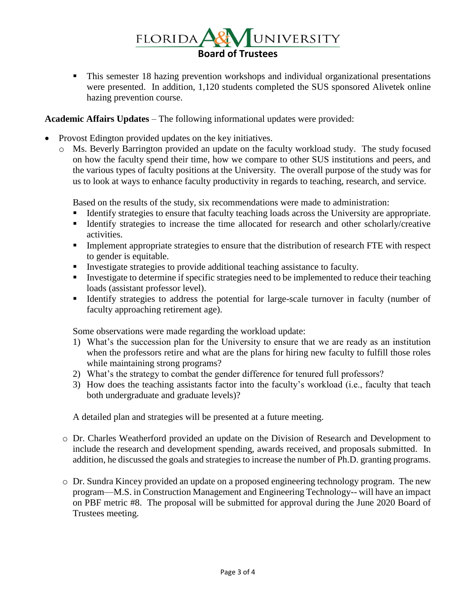

This semester 18 hazing prevention workshops and individual organizational presentations were presented. In addition, 1,120 students completed the SUS sponsored Alivetek online hazing prevention course.

## **Academic Affairs Updates** – The following informational updates were provided:

- Provost Edington provided updates on the key initiatives.
	- o Ms. Beverly Barrington provided an update on the faculty workload study. The study focused on how the faculty spend their time, how we compare to other SUS institutions and peers, and the various types of faculty positions at the University. The overall purpose of the study was for us to look at ways to enhance faculty productivity in regards to teaching, research, and service.

Based on the results of the study, six recommendations were made to administration:

- Identify strategies to ensure that faculty teaching loads across the University are appropriate.
- **EXECUTE:** Identify strategies to increase the time allocated for research and other scholarly/creative activities.
- **•** Implement appropriate strategies to ensure that the distribution of research FTE with respect to gender is equitable.
- **I** Investigate strategies to provide additional teaching assistance to faculty.
- **IDED** Investigate to determine if specific strategies need to be implemented to reduce their teaching loads (assistant professor level).
- **EXECUTE:** Identify strategies to address the potential for large-scale turnover in faculty (number of faculty approaching retirement age).

Some observations were made regarding the workload update:

- 1) What's the succession plan for the University to ensure that we are ready as an institution when the professors retire and what are the plans for hiring new faculty to fulfill those roles while maintaining strong programs?
- 2) What's the strategy to combat the gender difference for tenured full professors?
- 3) How does the teaching assistants factor into the faculty's workload (i.e., faculty that teach both undergraduate and graduate levels)?

A detailed plan and strategies will be presented at a future meeting.

- o Dr. Charles Weatherford provided an update on the Division of Research and Development to include the research and development spending, awards received, and proposals submitted. In addition, he discussed the goals and strategies to increase the number of Ph.D. granting programs.
- o Dr. Sundra Kincey provided an update on a proposed engineering technology program. The new program—M.S. in Construction Management and Engineering Technology-- will have an impact on PBF metric #8. The proposal will be submitted for approval during the June 2020 Board of Trustees meeting.